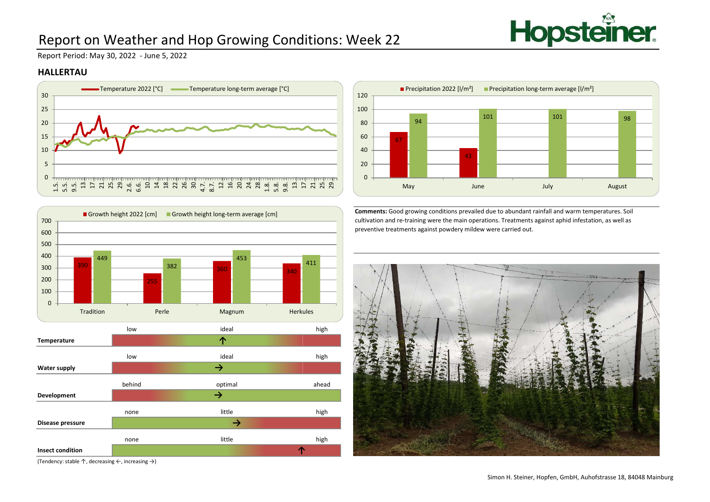

# Report on Weather and Hop Growing Conditions: Week 22

Report Period: May 30, 2022 - June 5, 2022

#### HALLERTAU





(Tendency: stable ↑, decreasing ←, increasing →)



Comments: Good growing conditions prevailed due to abundant rainfall and warm temperatures. Soil cultivation and re-training were the main operations. Treatments against aphid infestation, as well as preventive treatments against powdery mildew were carried out.

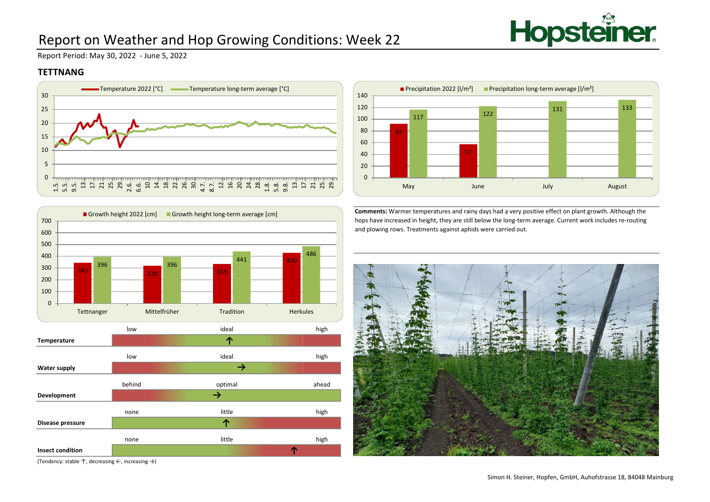

# Report on Weather and Hop Growing Conditions: Week 22

Report Period: May 30, 2022 - June 5, 2022

### **TETTNANG**





(Tendency: stable ↑, decreasing ←, increasing →)



Comments: Warmer temperatures and rainy days had a very positive effect on plant growth. Although the hops have increased in height, they are still below the long-term average. Current work includes re-routing and plowing rows. Treatments against aphids were carried out.